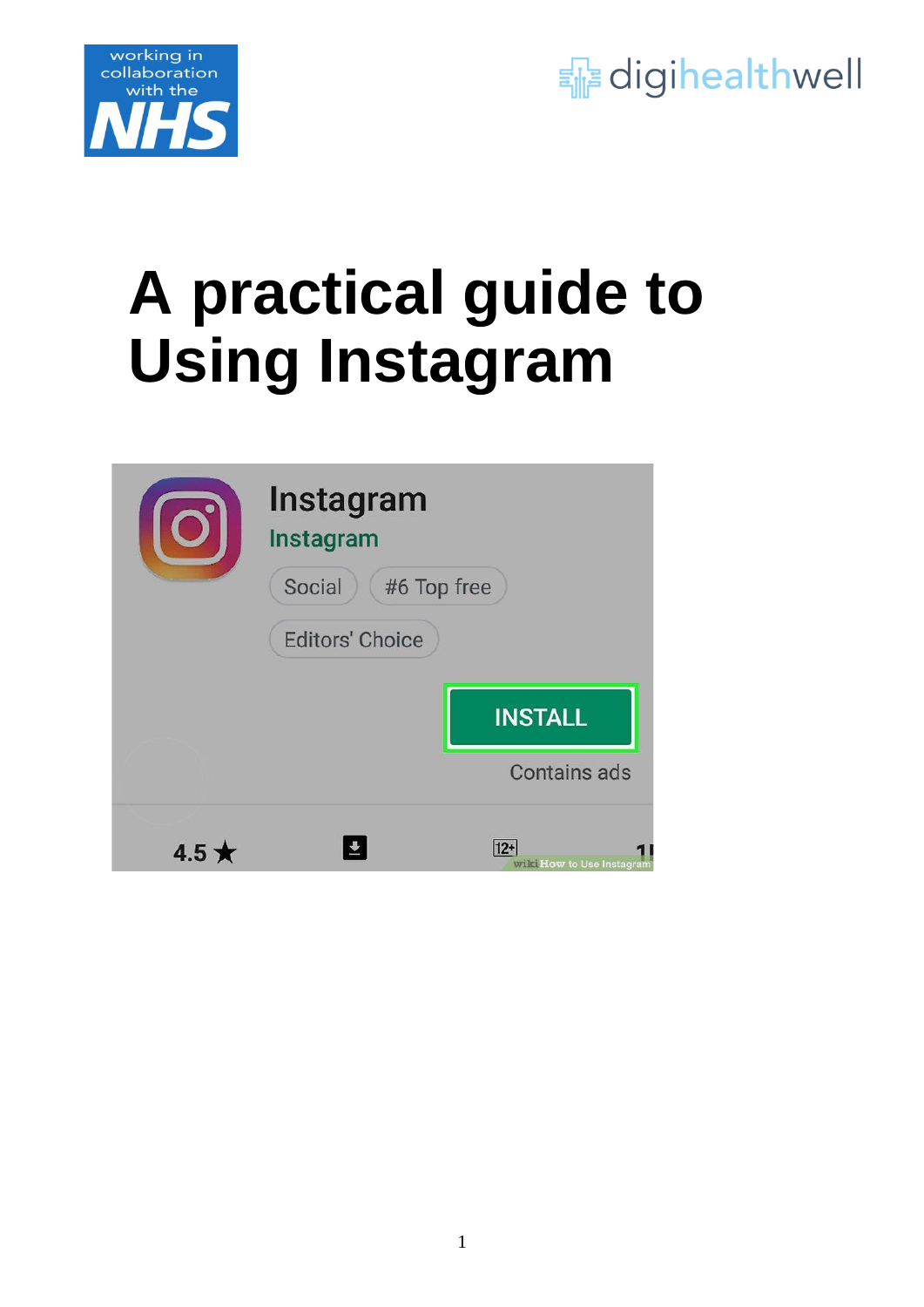



# **A practical guide to Using Instagram**

|        | Instagram<br>Instagram |                                     |
|--------|------------------------|-------------------------------------|
|        | Social<br>#6 Top free  |                                     |
|        | <b>Editors' Choice</b> |                                     |
|        |                        | <b>INSTALL</b>                      |
|        |                        | <b>Contains ads</b>                 |
| $4.5*$ |                        | $12+$<br>wilki How to Use Instagram |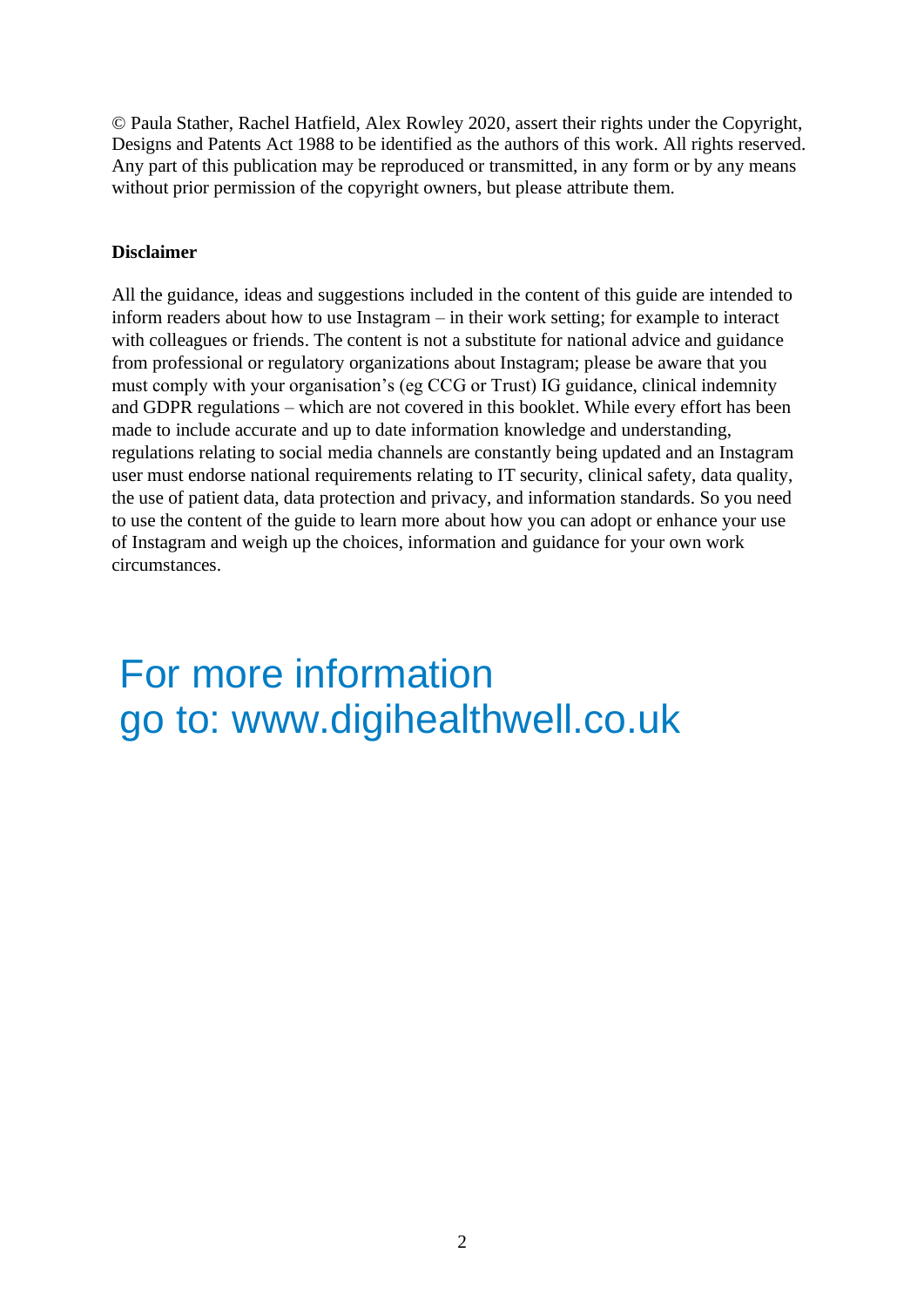© Paula Stather, Rachel Hatfield, Alex Rowley 2020, assert their rights under the Copyright, Designs and Patents Act 1988 to be identified as the authors of this work. All rights reserved. Any part of this publication may be reproduced or transmitted, in any form or by any means without prior permission of the copyright owners, but please attribute them.

#### **Disclaimer**

All the guidance, ideas and suggestions included in the content of this guide are intended to inform readers about how to use Instagram – in their work setting; for example to interact with colleagues or friends. The content is not a substitute for national advice and guidance from professional or regulatory organizations about Instagram; please be aware that you must comply with your organisation's (eg CCG or Trust) IG guidance, clinical indemnity and GDPR regulations – which are not covered in this booklet. While every effort has been made to include accurate and up to date information knowledge and understanding, regulations relating to social media channels are constantly being updated and an Instagram user must endorse national requirements relating to IT security, clinical safety, data quality, the use of patient data, data protection and privacy, and information standards. So you need to use the content of the guide to learn more about how you can adopt or enhance your use of Instagram and weigh up the choices, information and guidance for your own work circumstances.

For more information go to: www.digihealthwell.co.uk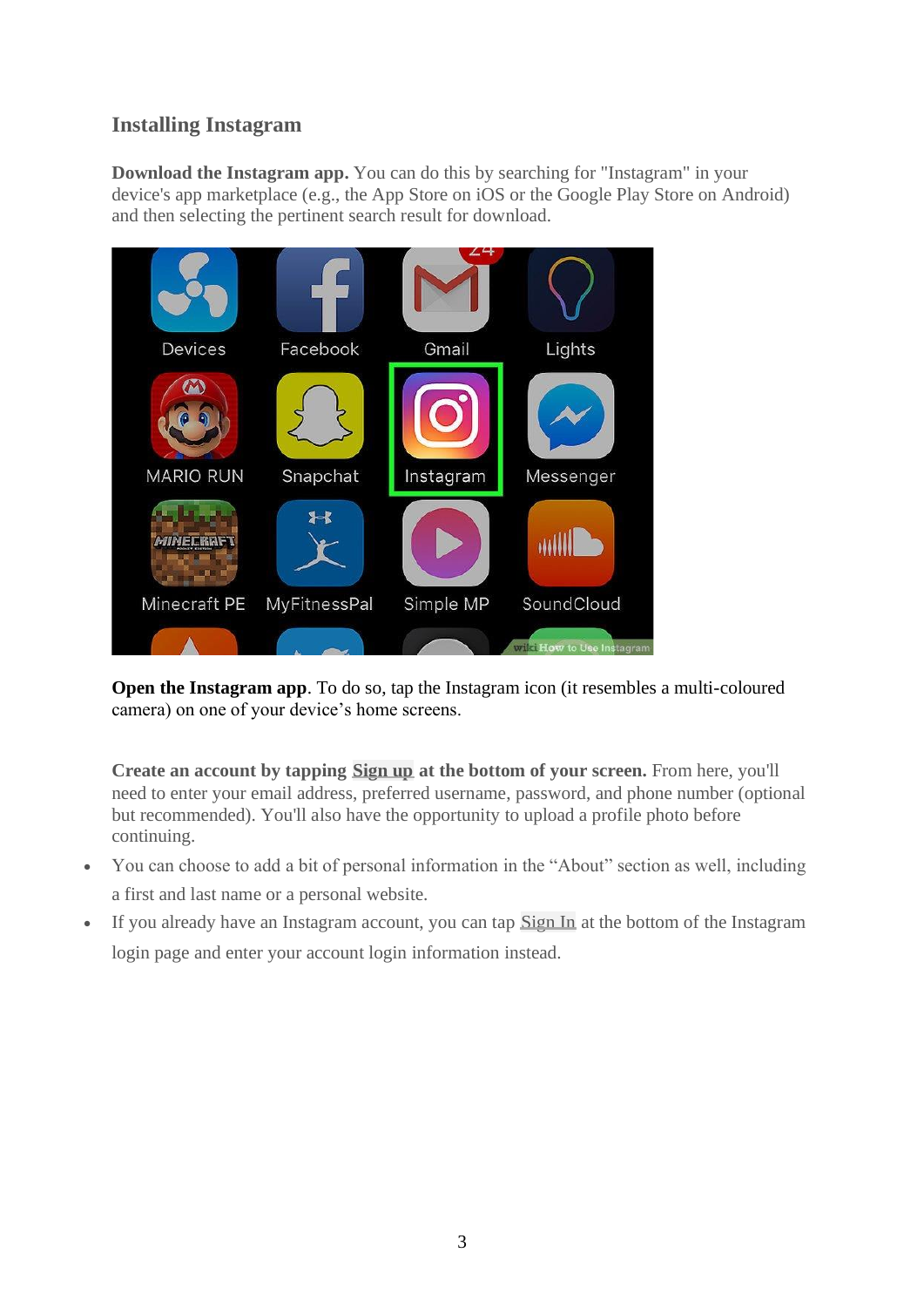## **Installing Instagram**

**Download the Instagram app.** You can do this by searching for "Instagram" in your device's app marketplace (e.g., the App Store on iOS or the Google Play Store on Android) and then selecting the pertinent search result for download.



**Open the Instagram app.** To do so, tap the Instagram icon (it resembles a multi-coloured camera) on one of your device's home screens.

**Create an account by tapping Sign up at the bottom of your screen.** From here, you'll need to enter your email address, preferred username, password, and phone number (optional but recommended). You'll also have the opportunity to upload a profile photo before continuing.

- You can choose to add a bit of personal information in the "About" section as well, including a first and last name or a personal website.
- If you already have an Instagram account, you can tap Sign In at the bottom of the Instagram login page and enter your account login information instead.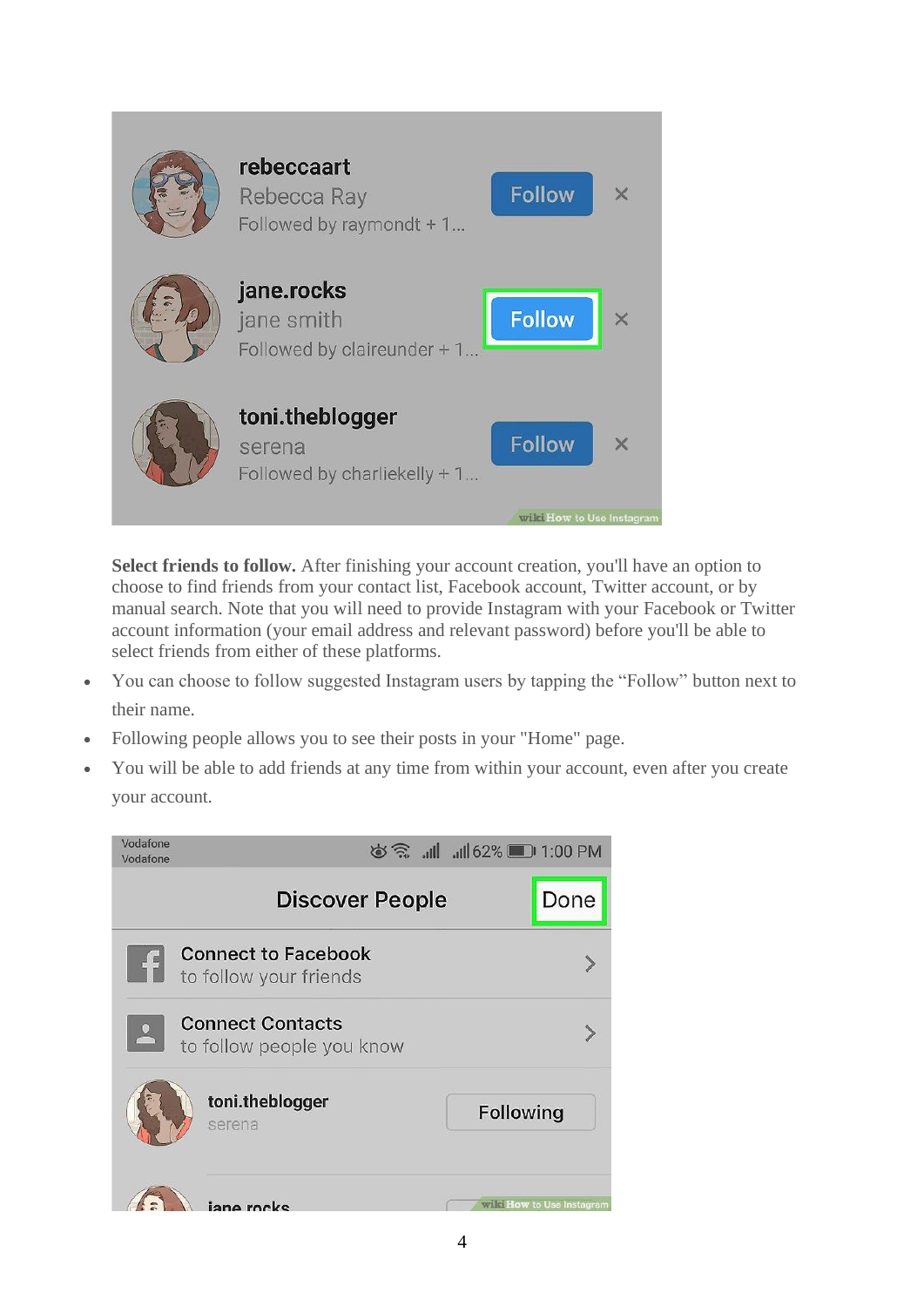

**Select friends to follow.** After finishing your account creation, you'll have an option to choose to find friends from your contact list, Facebook account, Twitter account, or by manual search. Note that you will need to provide Instagram with your Facebook or Twitter account information (your email address and relevant password) before you'll be able to select friends from either of these platforms.

- You can choose to follow suggested Instagram users by tapping the "Follow" button next to their name.
- Following people allows you to see their posts in your "Home" page.
- You will be able to add friends at any time from within your account, even after you create your account.

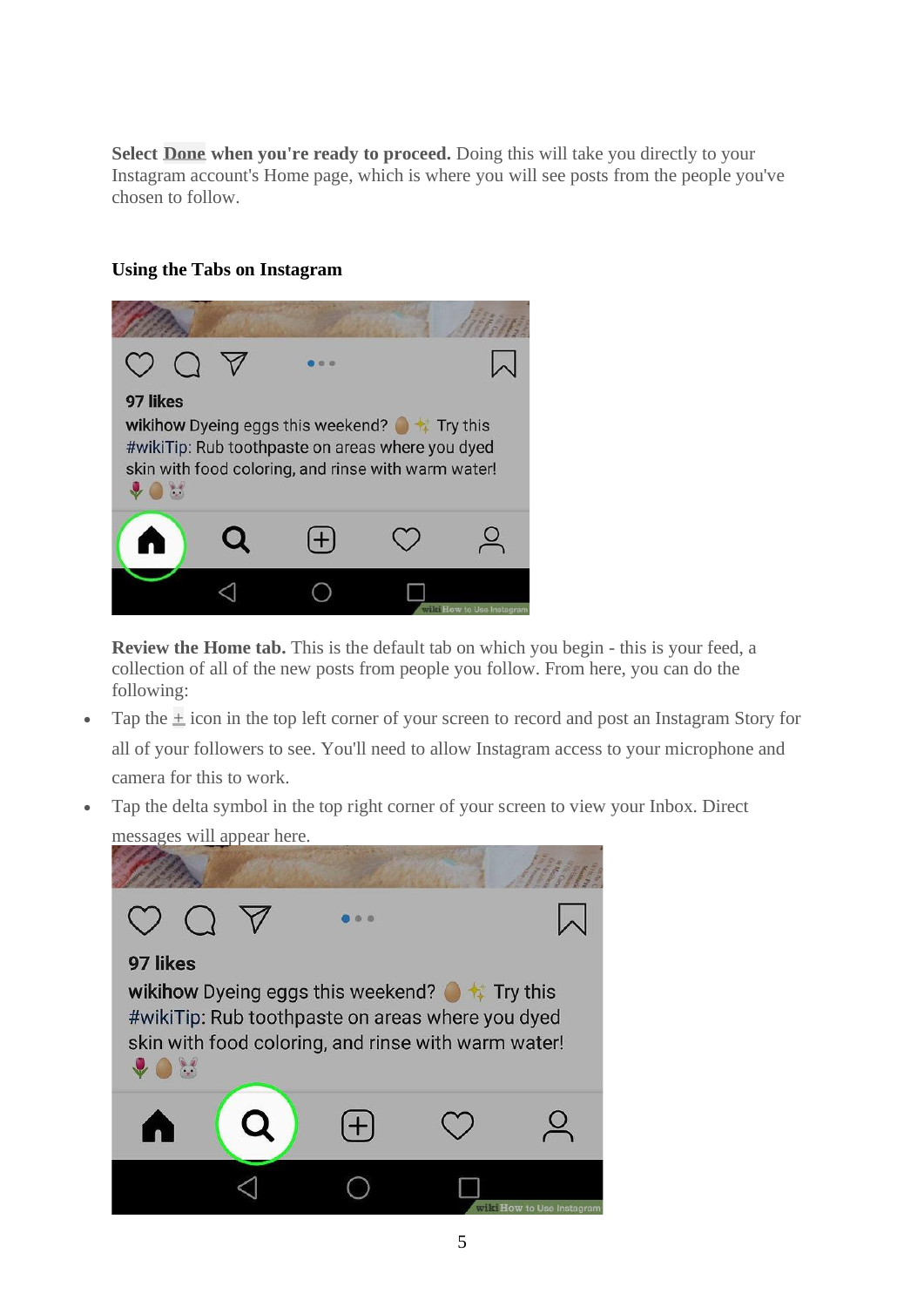**Select Done when you're ready to proceed.** Doing this will take you directly to your Instagram account's Home page, which is where you will see posts from the people you've chosen to follow.

#### **Using the Tabs on Instagram**



**Review the Home tab.** This is the default tab on which you begin - this is your feed, a collection of all of the new posts from people you follow. From here, you can do the following:

- Tap the  $\pm$  icon in the top left corner of your screen to record and post an Instagram Story for all of your followers to see. You'll need to allow Instagram access to your microphone and camera for this to work.
- Tap the delta symbol in the top right corner of your screen to view your Inbox. Direct messages will appear here.

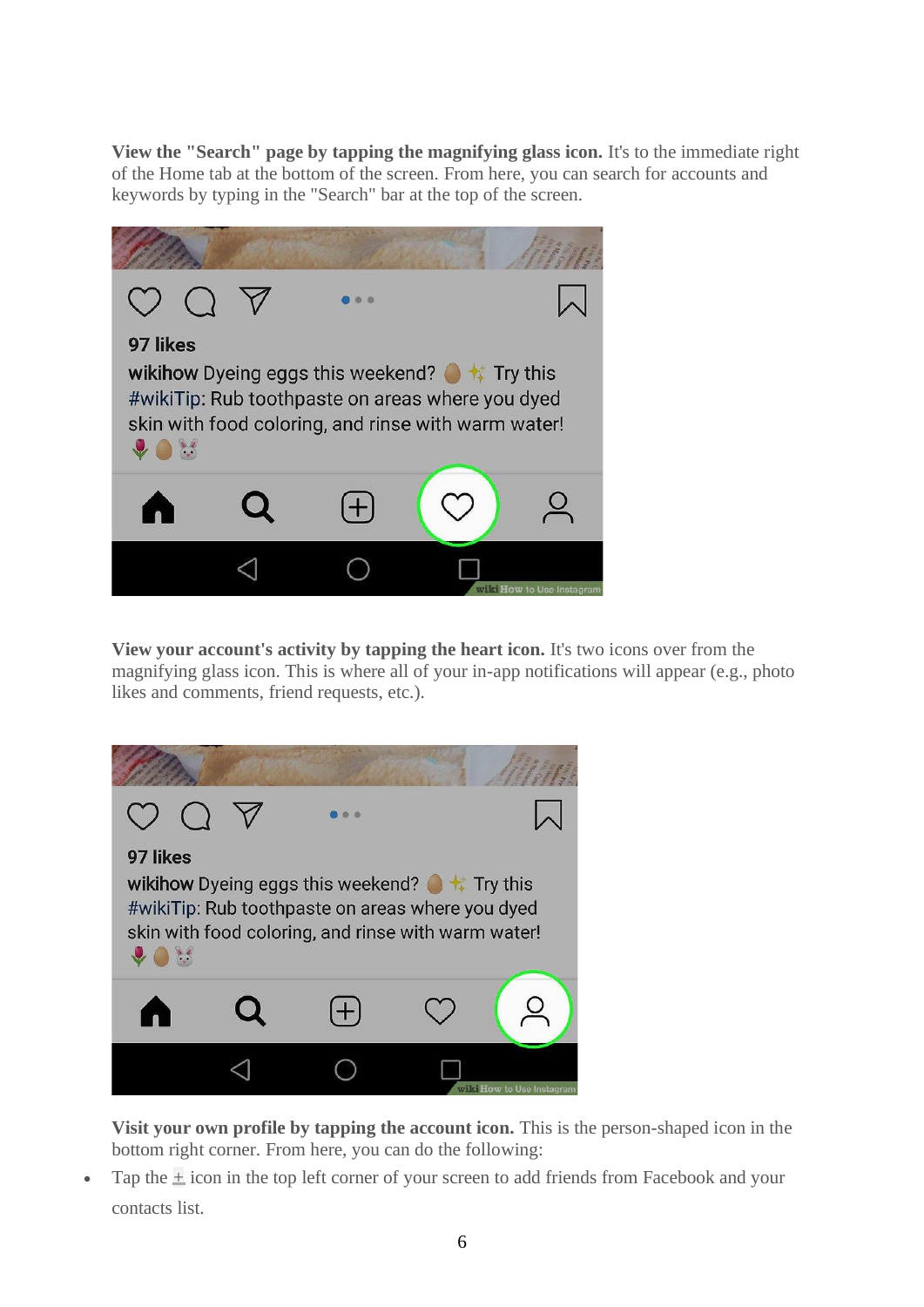**View the "Search" page by tapping the magnifying glass icon.** It's to the immediate right of the Home tab at the bottom of the screen. From here, you can search for accounts and keywords by typing in the "Search" bar at the top of the screen.



**View your account's activity by tapping the heart icon.** It's two icons over from the magnifying glass icon. This is where all of your in-app notifications will appear (e.g., photo likes and comments, friend requests, etc.).



**Visit your own profile by tapping the account icon.** This is the person-shaped icon in the bottom right corner. From here, you can do the following:

• Tap the  $\pm$  icon in the top left corner of your screen to add friends from Facebook and your contacts list.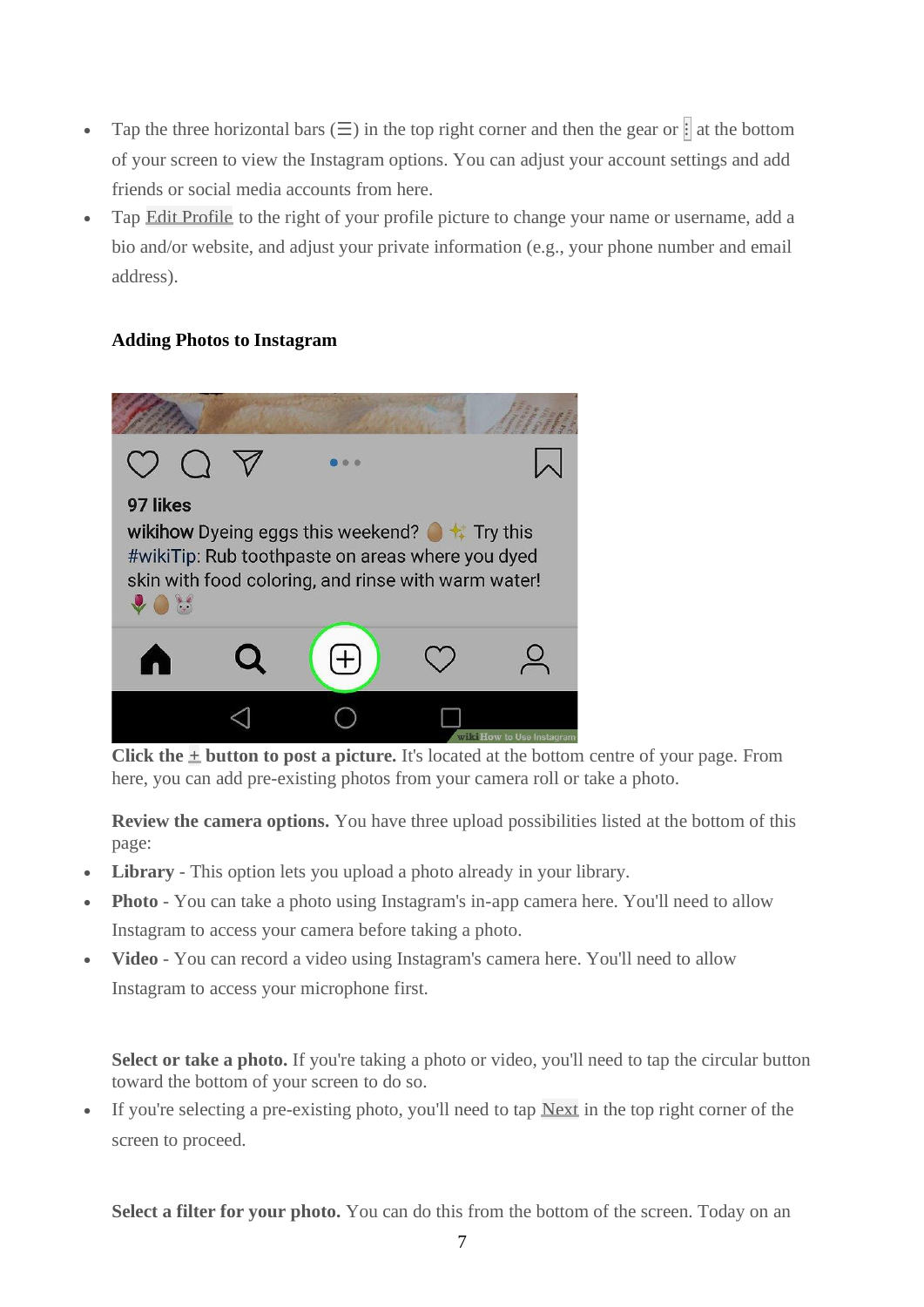- Tap the three horizontal bars  $(\Xi)$  in the top right corner and then the gear or  $\ddot{\ddot{\theta}}$  at the bottom of your screen to view the Instagram options. You can adjust your account settings and add friends or social media accounts from here.
- Tap Edit Profile to the right of your profile picture to change your name or username, add a bio and/or website, and adjust your private information (e.g., your phone number and email address).

#### **Adding Photos to Instagram**



**Click the**  $\pm$  **<b>button to post a picture.** It's located at the bottom centre of your page. From here, you can add pre-existing photos from your camera roll or take a photo.

**Review the camera options.** You have three upload possibilities listed at the bottom of this page:

- **Library** This option lets you upload a photo already in your library.
- **Photo** You can take a photo using Instagram's in-app camera here. You'll need to allow Instagram to access your camera before taking a photo.
- **Video** You can record a video using Instagram's camera here. You'll need to allow Instagram to access your microphone first.

Select or take a photo. If you're taking a photo or video, you'll need to tap the circular button toward the bottom of your screen to do so.

If you're selecting a pre-existing photo, you'll need to tap  $Next$  in the top right corner of the screen to proceed.

**Select a filter for your photo.** You can do this from the bottom of the screen. Today on an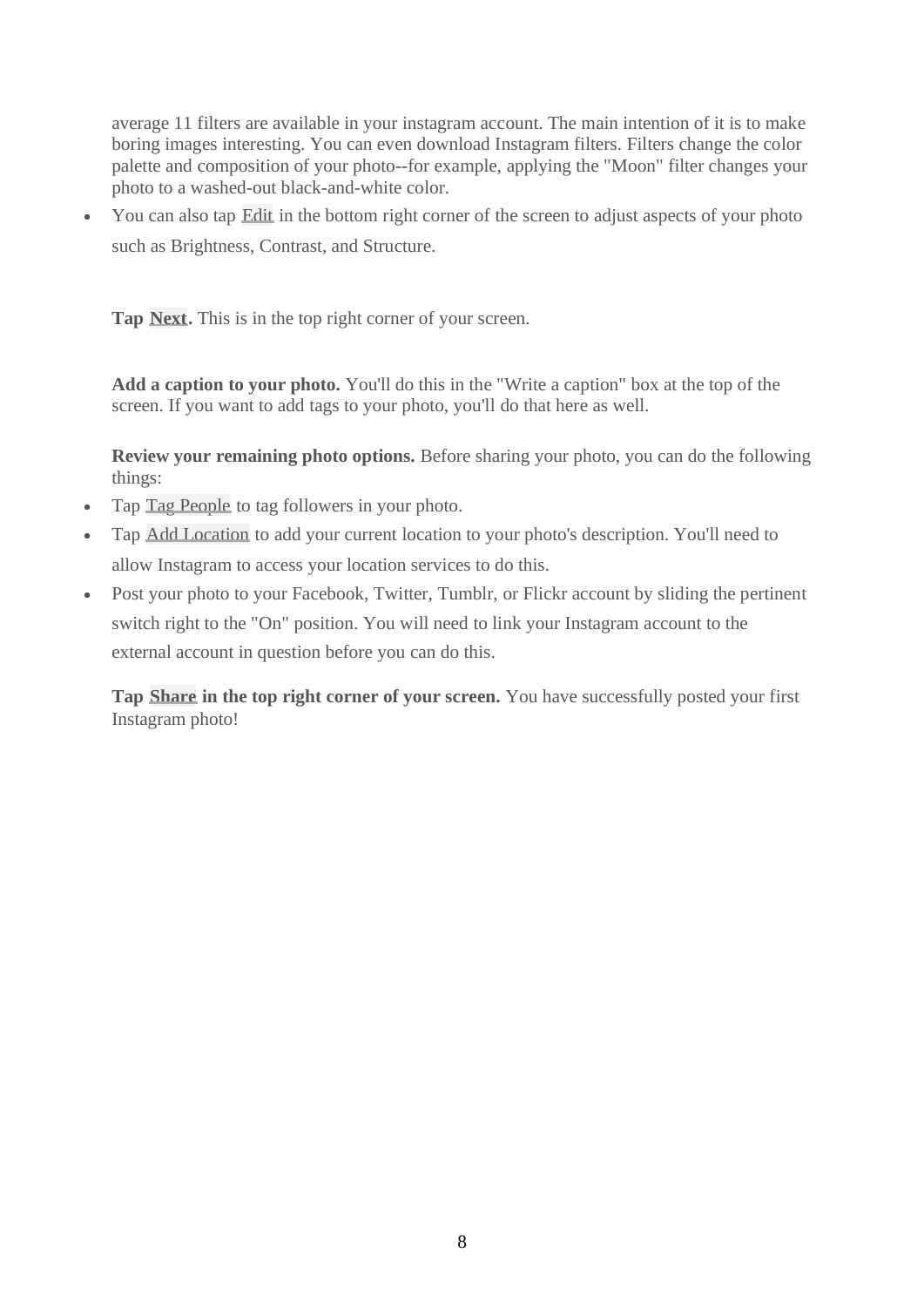average 11 filters are available in your instagram account. The main intention of it is to make boring images interesting. You can even download Instagram filters. Filters change the color palette and composition of your photo--for example, applying the "Moon" filter changes your photo to a washed-out black-and-white color.

• You can also tap Edit in the bottom right corner of the screen to adjust aspects of your photo such as Brightness, Contrast, and Structure.

**Tap Next.** This is in the top right corner of your screen.

**Add a caption to your photo.** You'll do this in the "Write a caption" box at the top of the screen. If you want to add tags to your photo, you'll do that here as well.

**Review your remaining photo options.** Before sharing your photo, you can do the following things:

- Tap Tag People to tag followers in your photo.
- Tap Add Location to add your current location to your photo's description. You'll need to allow Instagram to access your location services to do this.
- Post your photo to your Facebook, Twitter, Tumblr, or Flickr account by sliding the pertinent switch right to the "On" position. You will need to link your Instagram account to the external account in question before you can do this.

**Tap Share in the top right corner of your screen.** You have successfully posted your first Instagram photo!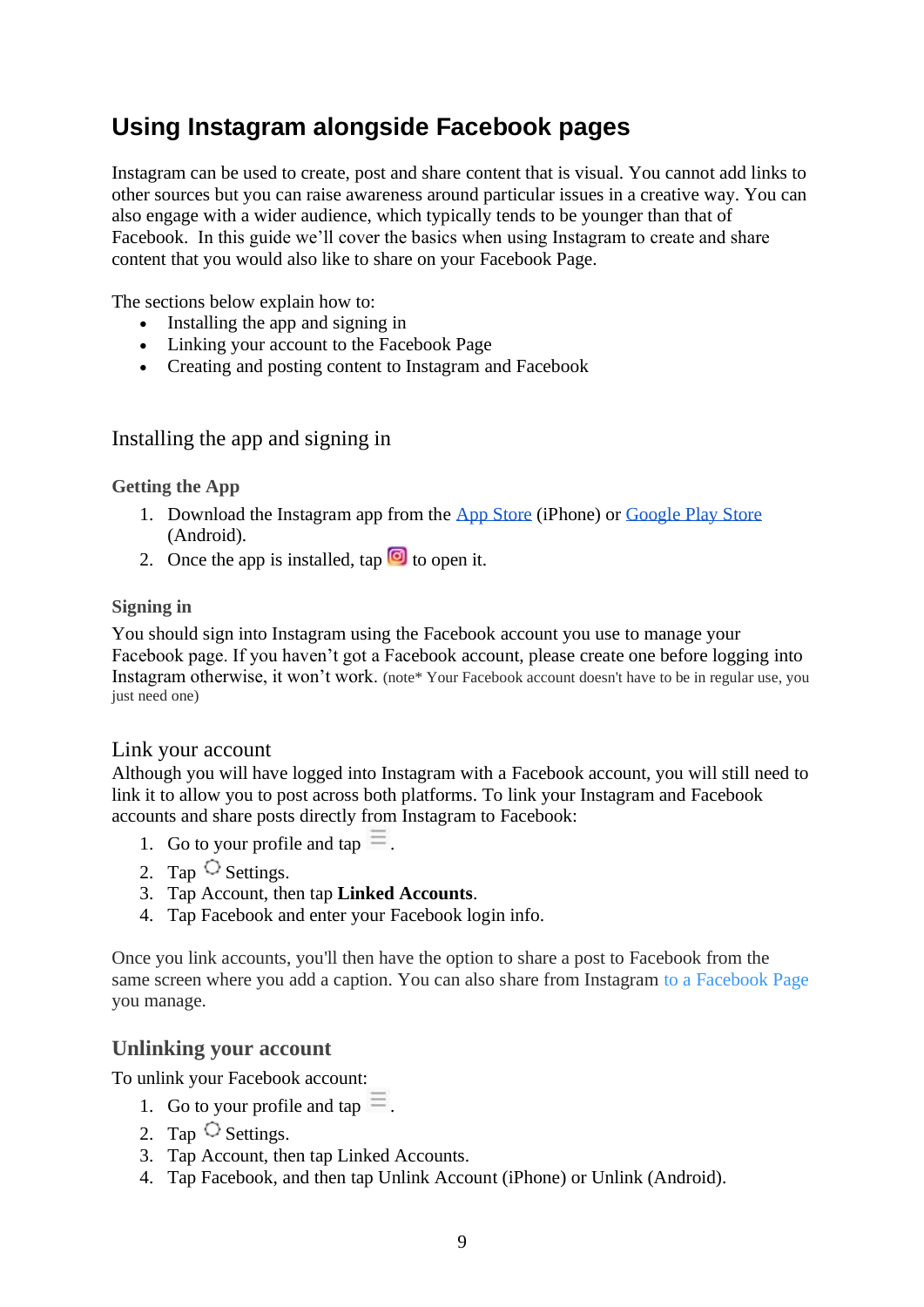# **Using Instagram alongside Facebook pages**

Instagram can be used to create, post and share content that is visual. You cannot add links to other sources but you can raise awareness around particular issues in a creative way. You can also engage with a wider audience, which typically tends to be younger than that of Facebook. In this guide we'll cover the basics when using Instagram to create and share content that you would also like to share on your Facebook Page.

The sections below explain how to:

- Installing the app and signing in
- Linking your account to the Facebook Page
- Creating and posting content to Instagram and Facebook

#### Installing the app and signing in

#### **Getting the App**

- 1. Download the Instagram app from the [App Store](https://itunes.apple.com/us/app/instagram/id389801252?mt=8) (iPhone) or [Google Play Store](https://bit.ly/HbEuQH) (Android).
- 2. Once the app is installed, tap  $\Box$  to open it.

#### **Signing in**

You should sign into Instagram using the Facebook account you use to manage your Facebook page. If you haven't got a Facebook account, please create one before logging into Instagram otherwise, it won't work. (note\* Your Facebook account doesn't have to be in regular use, you just need one)

#### Link your account

Although you will have logged into Instagram with a Facebook account, you will still need to link it to allow you to post across both platforms. To link your Instagram and Facebook accounts and share posts directly from Instagram to Facebook:

- 1. Go to your profile and tap  $\equiv$ .
- 2. Tap  $\circlearrowright$  Settings.
- 3. Tap Account, then tap **Linked Accounts**.
- 4. Tap Facebook and enter your Facebook login info.

Once you link accounts, you'll then have the option to share a post to Facebook from the same screen where you add a caption. You can also share from Instagram [to a Facebook Page](https://help.instagram.com/356902681064399) you manage.

#### **Unlinking your account**

To unlink your Facebook account:

- 1. Go to your profile and tap  $\equiv$ .
- 2. Tap  $\circlearrowright$  Settings.
- 3. Tap Account, then tap Linked Accounts.
- 4. Tap Facebook, and then tap Unlink Account (iPhone) or Unlink (Android).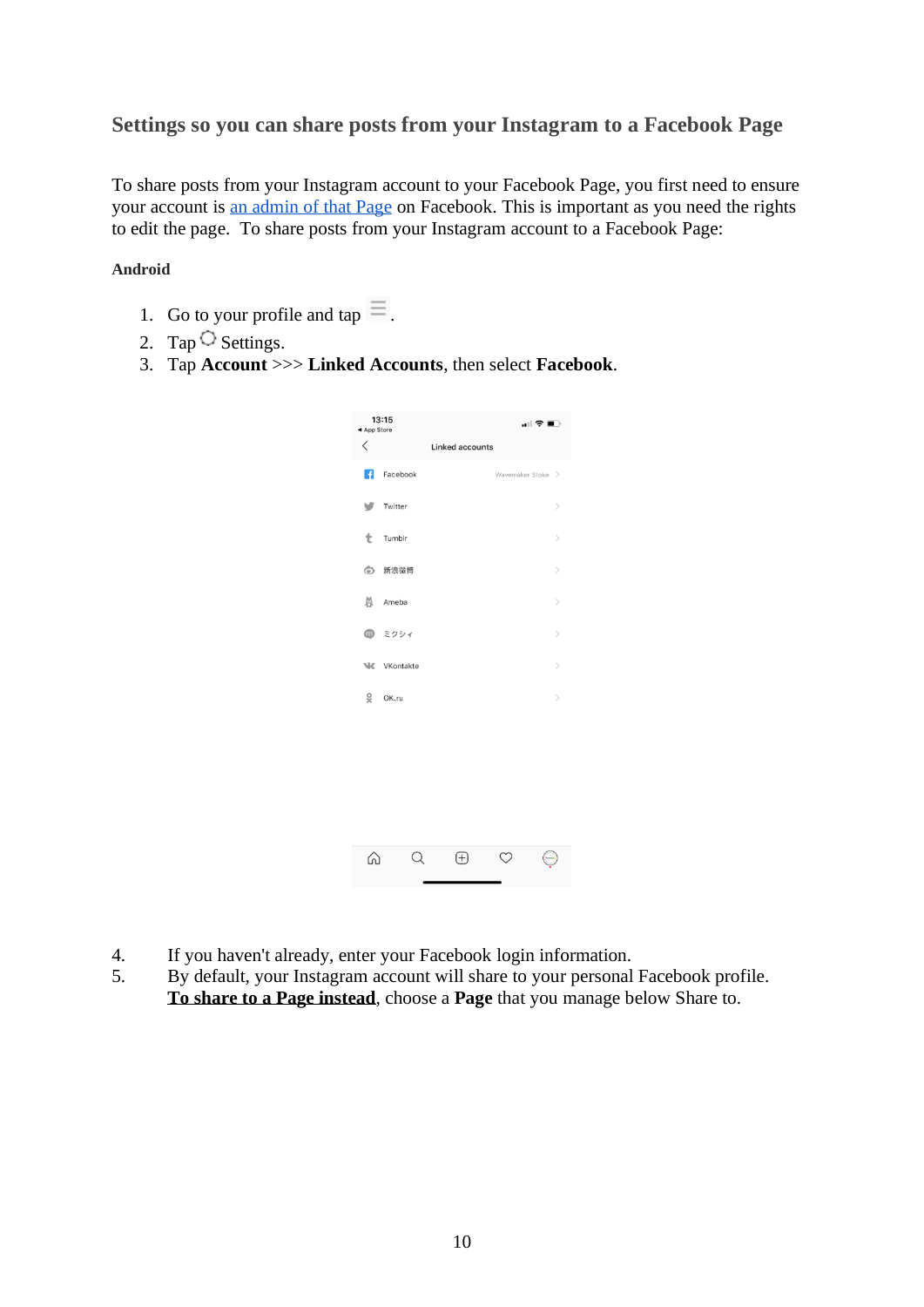#### **Settings so you can share posts from your Instagram to a Facebook Page**

To share posts from your Instagram account to your Facebook Page, you first need to ensure your account is [an admin of that Page](https://www.facebook.com/help/510247025775149) on Facebook. This is important as you need the rights to edit the page. To share posts from your Instagram account to a Facebook Page:

#### **Android**

- 1. Go to your profile and tap  $\equiv$ .
- 2. Tap  $\overline{\circ}$  Settings.
- 3. Tap **Account** >>> **Linked Accounts**, then select **Facebook**.

| ◀ App Store | 13:15     | …⊫ <del>≎</del> ■⊃     |  |                              |
|-------------|-----------|------------------------|--|------------------------------|
| $\lt$       |           | <b>Linked accounts</b> |  |                              |
| R           | Facebook  |                        |  | Wavemaker Stoke >            |
| v           | Twitter   |                        |  | $\left\langle \right\rangle$ |
| t           | Tumblr    |                        |  | $\left\langle \right\rangle$ |
| 6           | 新浪微博      |                        |  | $\mathcal{P}$                |
| ă           | Ameba     |                        |  | $\left\langle \right\rangle$ |
|             | 1 ミクシィ    |                        |  | $\left\langle \right\rangle$ |
| W           | VKontakte |                        |  | $\mathcal{P}$                |
| 9           | OK.ru     |                        |  | $\mathcal{P}$                |
|             |           |                        |  |                              |
|             |           |                        |  |                              |
|             |           |                        |  |                              |
|             |           |                        |  |                              |
| ſn          |           | $\boxplus$             |  |                              |

- 4. If you haven't already, enter your Facebook login information.
- 5. By default, your Instagram account will share to your personal Facebook profile. **To share to a Page instead**, choose a **Page** that you manage below Share to.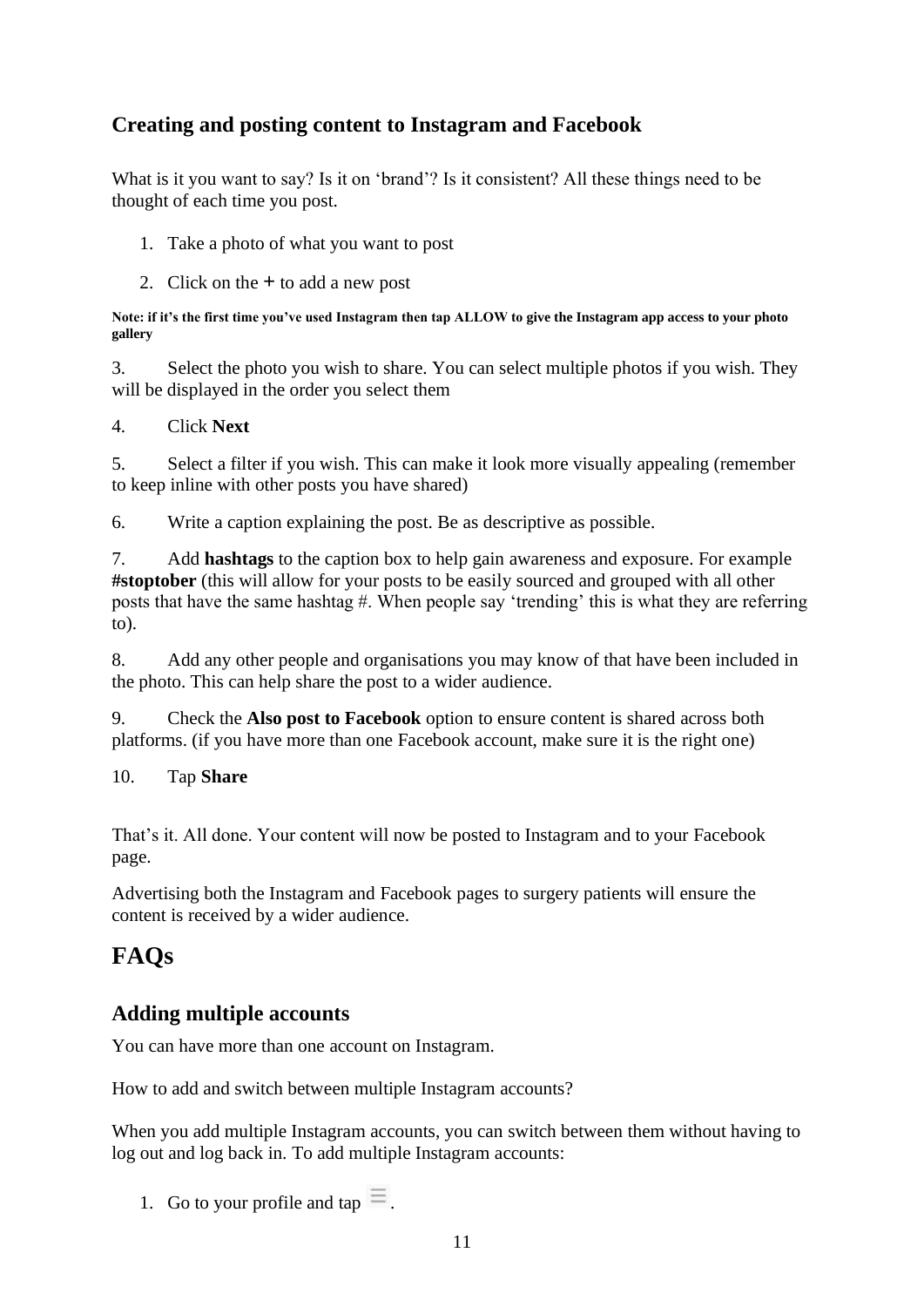## **Creating and posting content to Instagram and Facebook**

What is it you want to say? Is it on 'brand'? Is it consistent? All these things need to be thought of each time you post.

- 1. Take a photo of what you want to post
- 2. Click on the **+** to add a new post

**Note: if it's the first time you've used Instagram then tap ALLOW to give the Instagram app access to your photo gallery**

3. Select the photo you wish to share. You can select multiple photos if you wish. They will be displayed in the order you select them

4. Click **Next**

5. Select a filter if you wish. This can make it look more visually appealing (remember to keep inline with other posts you have shared)

6. Write a caption explaining the post. Be as descriptive as possible.

7. Add **hashtags** to the caption box to help gain awareness and exposure. For example **#stoptober** (this will allow for your posts to be easily sourced and grouped with all other posts that have the same hashtag #. When people say 'trending' this is what they are referring to).

8. Add any other people and organisations you may know of that have been included in the photo. This can help share the post to a wider audience.

9. Check the **Also post to Facebook** option to ensure content is shared across both platforms. (if you have more than one Facebook account, make sure it is the right one)

10. Tap **Share**

That's it. All done. Your content will now be posted to Instagram and to your Facebook page.

Advertising both the Instagram and Facebook pages to surgery patients will ensure the content is received by a wider audience.

## **FAQs**

## **Adding multiple accounts**

You can have more than one account on Instagram.

How to add and switch between multiple Instagram accounts?

When you add multiple Instagram accounts, you can switch between them without having to log out and log back in. To add multiple Instagram accounts:

1. Go to your profile and tap  $\equiv$ .